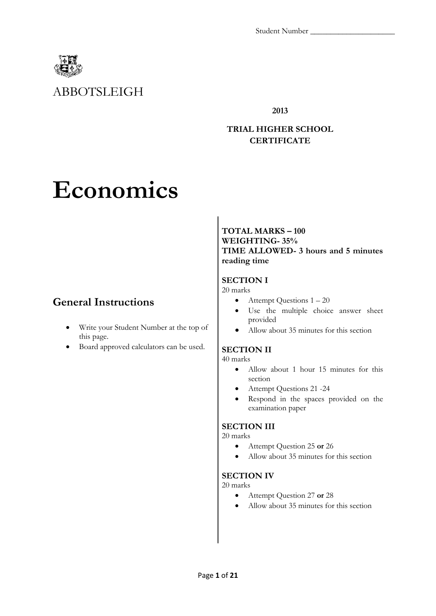

# ABBOTSLEIGH

**2013**

## **TRIAL HIGHER SCHOOL CERTIFICATE**

# **Economics**

# **General Instructions**

- Write your Student Number at the top of this page.
- Board approved calculators can be used.

**TOTAL MARKS – 100 WEIGHTING- 35% TIME ALLOWED- 3 hours and 5 minutes reading time**

## **SECTION I**

20 marks

- $\bullet$  Attempt Questions  $1 20$
- Use the multiple choice answer sheet provided
- Allow about 35 minutes for this section

## **SECTION II**

40 marks

- Allow about 1 hour 15 minutes for this section
- Attempt Questions 21 -24
- Respond in the spaces provided on the examination paper

## **SECTION III**

20 marks

- Attempt Question 25 **or** 26
- Allow about 35 minutes for this section

## **SECTION IV**

20 marks

- Attempt Question 27 **or** 28
- Allow about 35 minutes for this section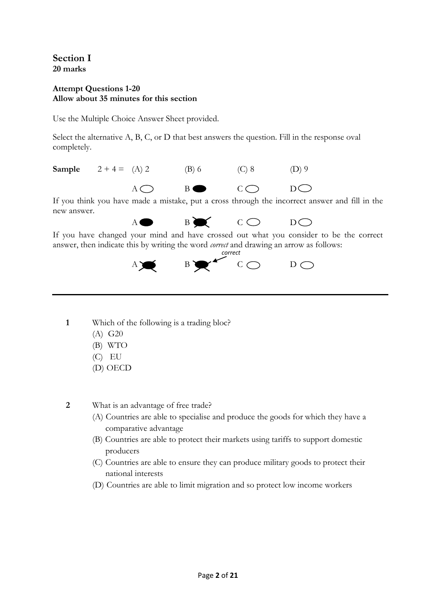**Section I 20 marks** 

## **Attempt Questions 1-20 Allow about 35 minutes for this section**

Use the Multiple Choice Answer Sheet provided.

Select the alternative A, B, C, or D that best answers the question. Fill in the response oval completely.

**Sample**  $2 + 4 = (A) 2$  (B) 6 (C) 8 (D) 9  $A \bigcap B \bullet C \bigcap D \bigcap$ 

If you think you have made a mistake, put a cross through the incorrect answer and fill in the new answer.

 $A \bullet B \bullet C \bullet D$ If you have changed your mind and have crossed out what you consider to be the correct answer, then indicate this by writing the word *correct* and drawing an arrow as follows:



- **1** Which of the following is a trading bloc?
	- (A) G20
	- (B) WTO
	- (C) EU
	- (D) OECD

**2** What is an advantage of free trade?

- (A) Countries are able to specialise and produce the goods for which they have a comparative advantage
- (B) Countries are able to protect their markets using tariffs to support domestic producers
- (C) Countries are able to ensure they can produce military goods to protect their national interests
- (D) Countries are able to limit migration and so protect low income workers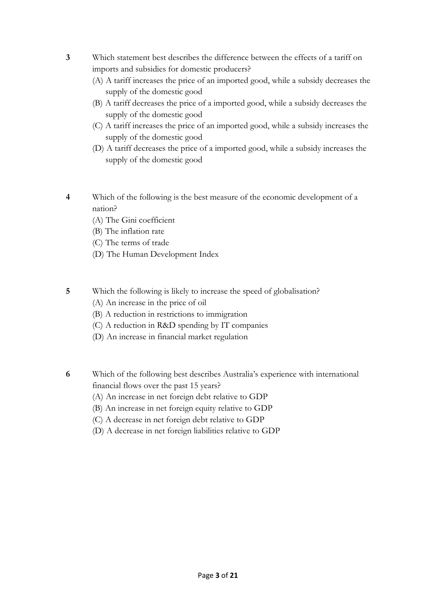- **3** Which statement best describes the difference between the effects of a tariff on imports and subsidies for domestic producers?
	- (A) A tariff increases the price of an imported good, while a subsidy decreases the supply of the domestic good
	- (B) A tariff decreases the price of a imported good, while a subsidy decreases the supply of the domestic good
	- (C) A tariff increases the price of an imported good, while a subsidy increases the supply of the domestic good
	- (D) A tariff decreases the price of a imported good, while a subsidy increases the supply of the domestic good
- **4** Which of the following is the best measure of the economic development of a nation?
	- (A) The Gini coefficient
	- (B) The inflation rate
	- (C) The terms of trade
	- (D) The Human Development Index
- **5** Which the following is likely to increase the speed of globalisation?
	- (A) An increase in the price of oil
	- (B) A reduction in restrictions to immigration
	- (C) A reduction in R&D spending by IT companies
	- (D) An increase in financial market regulation
- **6** Which of the following best describes Australia's experience with international financial flows over the past 15 years?
	- (A) An increase in net foreign debt relative to GDP
	- (B) An increase in net foreign equity relative to GDP
	- (C) A decrease in net foreign debt relative to GDP
	- (D) A decrease in net foreign liabilities relative to GDP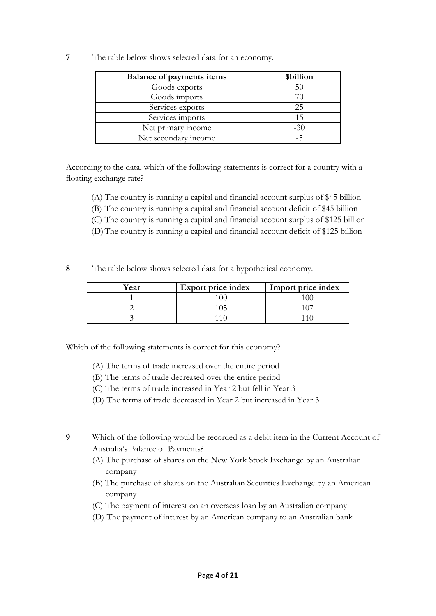**7** The table below shows selected data for an economy.

| <b>Balance of payments items</b> | \$billion |
|----------------------------------|-----------|
| Goods exports                    | 50        |
| Goods imports                    |           |
| Services exports                 | 25        |
| Services imports                 | 15        |
| Net primary income               | $-30$     |
| Net secondary income             | -5        |

According to the data, which of the following statements is correct for a country with a floating exchange rate?

- (A) The country is running a capital and financial account surplus of \$45 billion
- (B) The country is running a capital and financial account deficit of \$45 billion
- (C) The country is running a capital and financial account surplus of \$125 billion
- (D)The country is running a capital and financial account deficit of \$125 billion
- **8** The table below shows selected data for a hypothetical economy.

| Year | <b>Export price index</b> | Import price index |
|------|---------------------------|--------------------|
|      |                           |                    |
|      |                           |                    |
|      |                           |                    |

Which of the following statements is correct for this economy?

- (A) The terms of trade increased over the entire period
- (B) The terms of trade decreased over the entire period
- (C) The terms of trade increased in Year 2 but fell in Year 3
- (D) The terms of trade decreased in Year 2 but increased in Year 3
- **9** Which of the following would be recorded as a debit item in the Current Account of Australia's Balance of Payments?
	- (A) The purchase of shares on the New York Stock Exchange by an Australian company
	- (B) The purchase of shares on the Australian Securities Exchange by an American company
	- (C) The payment of interest on an overseas loan by an Australian company
	- (D) The payment of interest by an American company to an Australian bank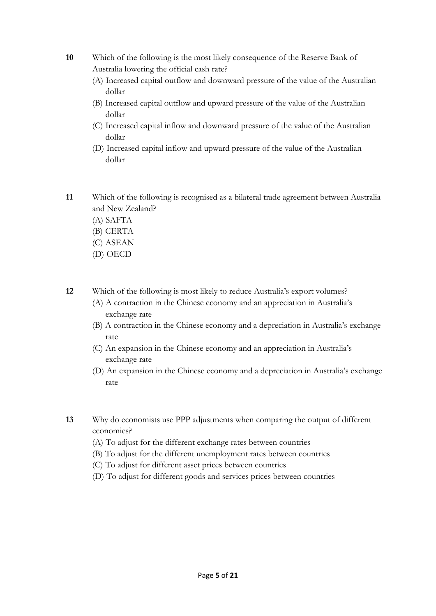- **10** Which of the following is the most likely consequence of the Reserve Bank of Australia lowering the official cash rate?
	- (A) Increased capital outflow and downward pressure of the value of the Australian dollar
	- (B) Increased capital outflow and upward pressure of the value of the Australian dollar
	- (C) Increased capital inflow and downward pressure of the value of the Australian dollar
	- (D) Increased capital inflow and upward pressure of the value of the Australian dollar
- **11** Which of the following is recognised as a bilateral trade agreement between Australia and New Zealand?
	- (A) SAFTA
	- (B) CERTA
	- (C) ASEAN
	- (D) OECD
- **12** Which of the following is most likely to reduce Australia's export volumes?
	- (A) A contraction in the Chinese economy and an appreciation in Australia's exchange rate
	- (B) A contraction in the Chinese economy and a depreciation in Australia's exchange rate
	- (C) An expansion in the Chinese economy and an appreciation in Australia's exchange rate
	- (D) An expansion in the Chinese economy and a depreciation in Australia's exchange rate
- **13** Why do economists use PPP adjustments when comparing the output of different economies?
	- (A) To adjust for the different exchange rates between countries
	- (B) To adjust for the different unemployment rates between countries
	- (C) To adjust for different asset prices between countries
	- (D) To adjust for different goods and services prices between countries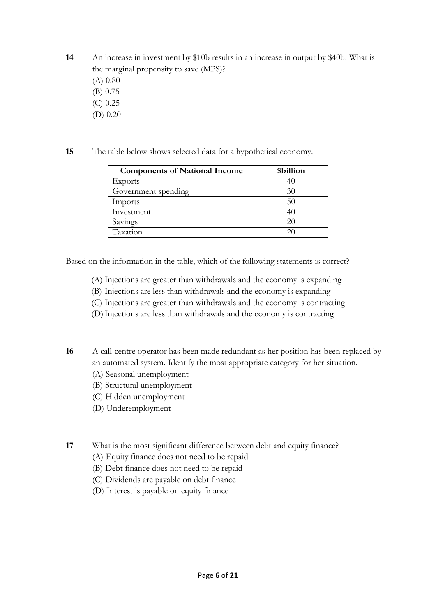**14** An increase in investment by \$10b results in an increase in output by \$40b. What is the marginal propensity to save (MPS)?

- (A) 0.80
- (B) 0.75
- (C) 0.25 (D) 0.20
- **15** The table below shows selected data for a hypothetical economy.

| <b>Components of National Income</b> | \$billion       |
|--------------------------------------|-----------------|
| Exports                              |                 |
| Government spending                  | 30              |
| Imports                              | 50              |
| Investment                           | 40 <sup>'</sup> |
| Savings                              | 20              |
| Taxation                             |                 |

Based on the information in the table, which of the following statements is correct?

- (A) Injections are greater than withdrawals and the economy is expanding
- (B) Injections are less than withdrawals and the economy is expanding
- (C) Injections are greater than withdrawals and the economy is contracting
- (D)Injections are less than withdrawals and the economy is contracting

**16** A call-centre operator has been made redundant as her position has been replaced by an automated system. Identify the most appropriate category for her situation.

- (A) Seasonal unemployment
- (B) Structural unemployment
- (C) Hidden unemployment
- (D) Underemployment

**17** What is the most significant difference between debt and equity finance?

- (A) Equity finance does not need to be repaid
- (B) Debt finance does not need to be repaid
- (C) Dividends are payable on debt finance
- (D) Interest is payable on equity finance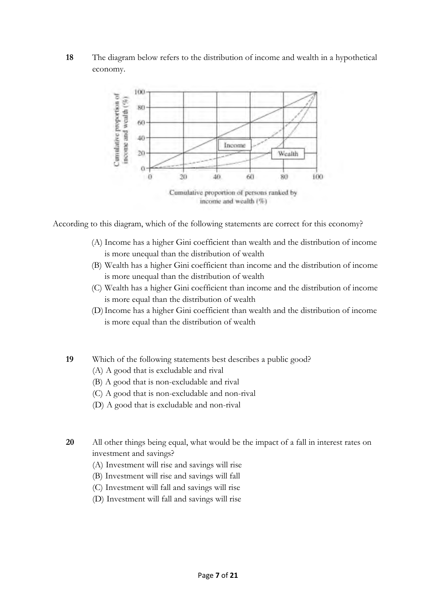## **18** The diagram below refers to the distribution of income and wealth in a hypothetical economy.



According to this diagram, which of the following statements are correct for this economy?

- (A) Income has a higher Gini coefficient than wealth and the distribution of income is more unequal than the distribution of wealth
- (B) Wealth has a higher Gini coefficient than income and the distribution of income is more unequal than the distribution of wealth
- (C) Wealth has a higher Gini coefficient than income and the distribution of income is more equal than the distribution of wealth
- (D)Income has a higher Gini coefficient than wealth and the distribution of income is more equal than the distribution of wealth
- **19** Which of the following statements best describes a public good?
	- (A) A good that is excludable and rival
	- (B) A good that is non-excludable and rival
	- (C) A good that is non-excludable and non-rival
	- (D) A good that is excludable and non-rival
- **20** All other things being equal, what would be the impact of a fall in interest rates on investment and savings?
	- (A) Investment will rise and savings will rise
	- (B) Investment will rise and savings will fall
	- (C) Investment will fall and savings will rise
	- (D) Investment will fall and savings will rise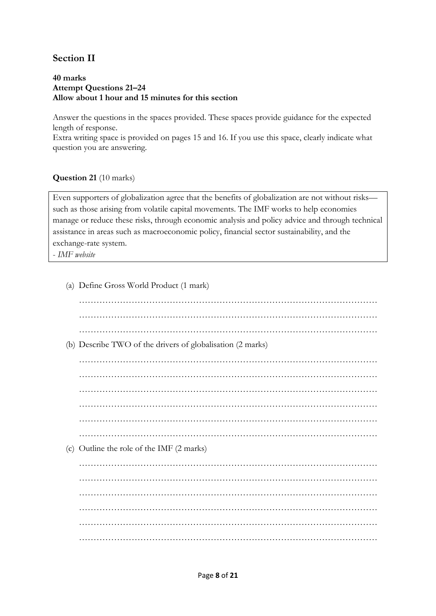# **Section II**

#### **40 marks Attempt Questions 21–24 Allow about 1 hour and 15 minutes for this section**

Answer the questions in the spaces provided. These spaces provide guidance for the expected length of response.

Extra writing space is provided on pages 15 and 16. If you use this space, clearly indicate what question you are answering.

## **Question 21** (10 marks)

Even supporters of globalization agree that the benefits of globalization are not without risks such as those arising from volatile capital movements. The IMF works to help economies manage or reduce these risks, through economic analysis and policy advice and through technical assistance in areas such as macroeconomic policy, financial sector sustainability, and the exchange-rate system.

- *IMF website*

| (a) Define Gross World Product (1 mark)                    |
|------------------------------------------------------------|
|                                                            |
|                                                            |
|                                                            |
| (b) Describe TWO of the drivers of globalisation (2 marks) |
|                                                            |
|                                                            |
|                                                            |
|                                                            |
|                                                            |
|                                                            |
| (c) Outline the role of the IMF (2 marks)                  |
|                                                            |
|                                                            |
|                                                            |
|                                                            |
|                                                            |
|                                                            |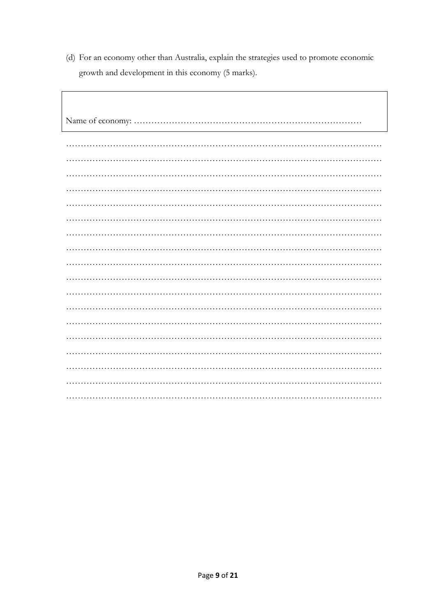(d) For an economy other than Australia, explain the strategies used to promote economic growth and development in this economy (5 marks).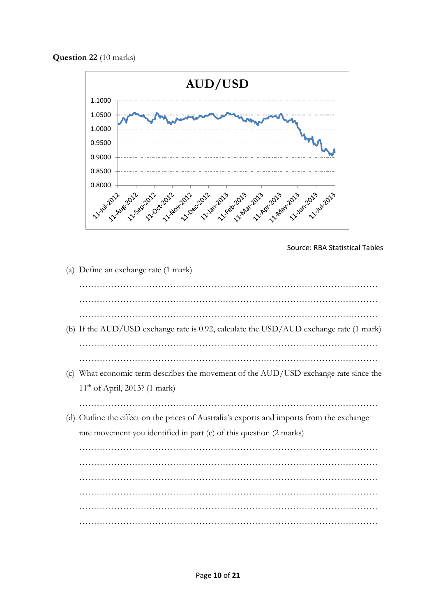**Question 22** (10 marks)



Source: RBA Statistical Tables

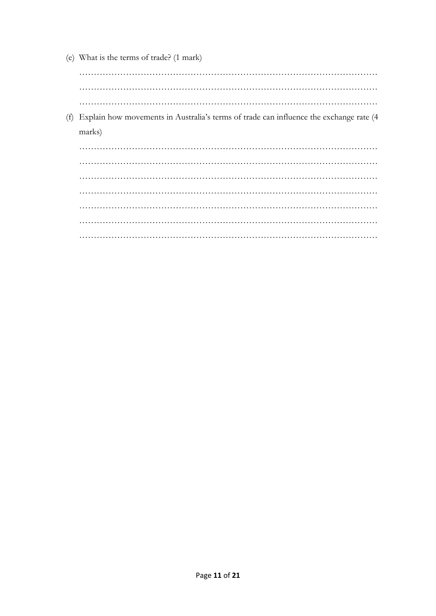(e) What is the terms of trade? (1 mark)

 $\ldots$ 

(f) Explain how movements in Australia's terms of trade can influence the exchange rate (4 marks)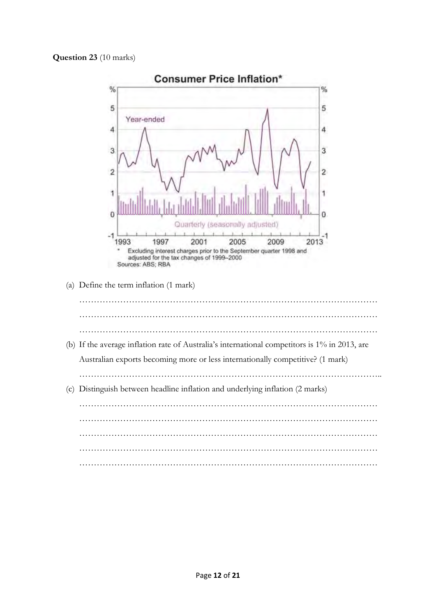## **Question 23** (10 marks)

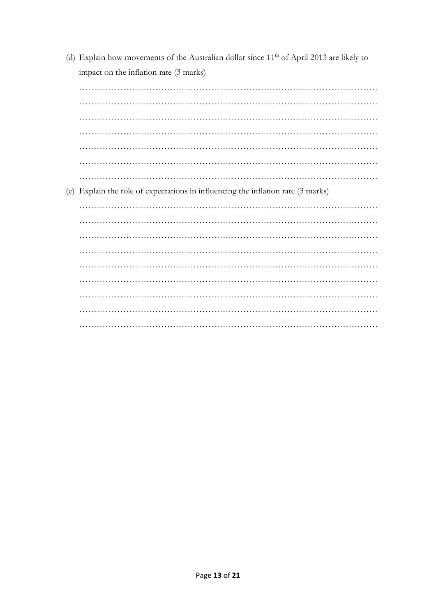| (d) Explain how movements of the Australian dollar since $11th$ of April 2013 are likely to |
|---------------------------------------------------------------------------------------------|
| impact on the inflation rate (3 marks)                                                      |
|                                                                                             |
|                                                                                             |
|                                                                                             |
|                                                                                             |
|                                                                                             |
|                                                                                             |
|                                                                                             |
| (e) Explain the role of expectations in influencing the inflation rate (3 marks)            |
|                                                                                             |
|                                                                                             |
|                                                                                             |
|                                                                                             |
|                                                                                             |
|                                                                                             |
|                                                                                             |
|                                                                                             |
|                                                                                             |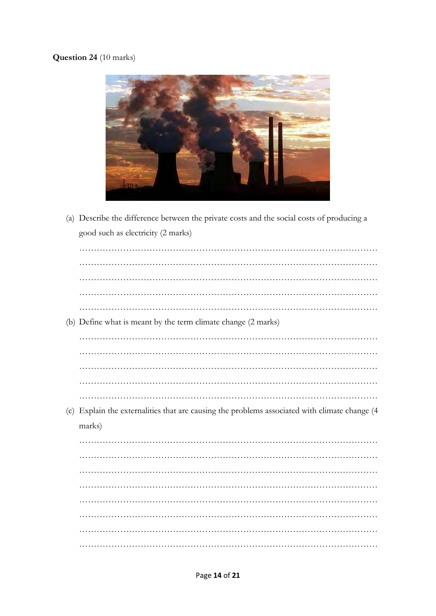# Question 24 (10 marks)



(a) Describe the difference between the private costs and the social costs of producing a good such as electricity (2 marks)

| (b) Define what is meant by the term climate change (2 marks)                                 |
|-----------------------------------------------------------------------------------------------|
|                                                                                               |
|                                                                                               |
|                                                                                               |
|                                                                                               |
|                                                                                               |
|                                                                                               |
| (c) Explain the externalities that are causing the problems associated with climate change (4 |
| marks)                                                                                        |
|                                                                                               |
|                                                                                               |
|                                                                                               |
|                                                                                               |
|                                                                                               |
|                                                                                               |
|                                                                                               |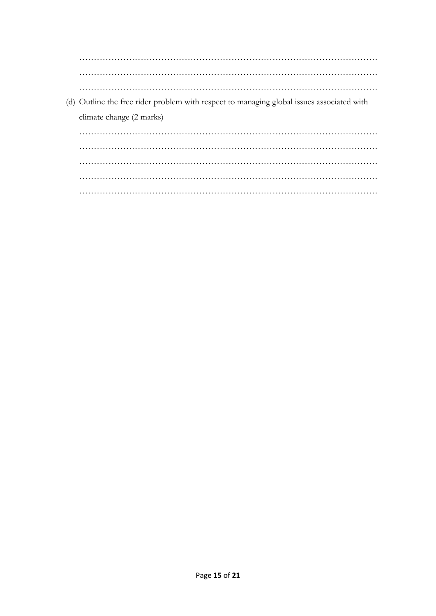$\ldots$  . (d) Outline the free rider problem with respect to managing global issues associated with climate change (2 marks)  $\ldots$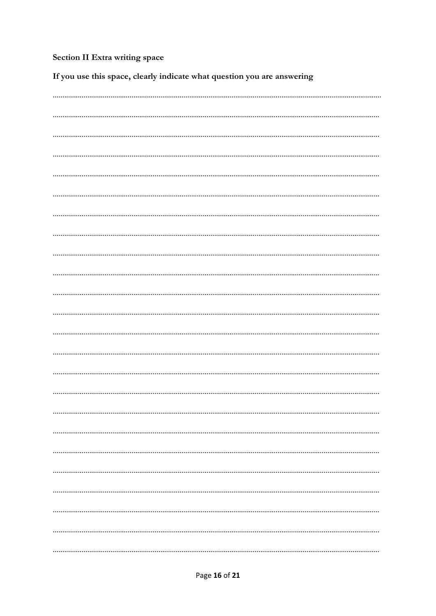# Section II Extra writing space

If you use this space, clearly indicate what question you are answering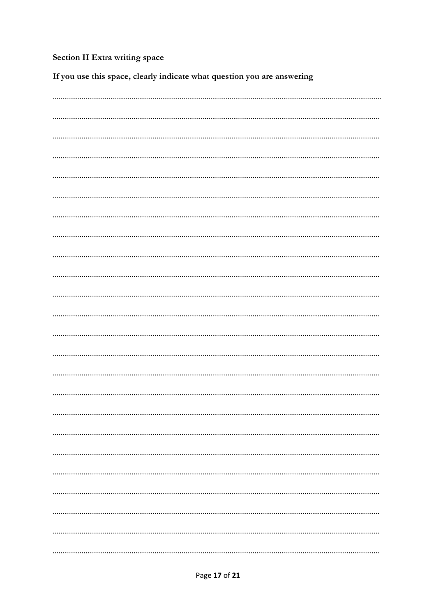# Section II Extra writing space

If you use this space, clearly indicate what question you are answering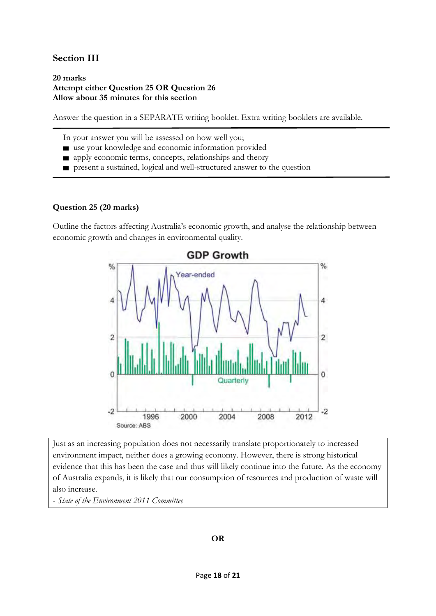## **Section III**

#### **20 marks Attempt either Question 25 OR Question 26 Allow about 35 minutes for this section**

Answer the question in a SEPARATE writing booklet. Extra writing booklets are available.

In your answer you will be assessed on how well you;

- use your knowledge and economic information provided
- **n** apply economic terms, concepts, relationships and theory
- present a sustained, logical and well-structured answer to the question

## **Question 25 (20 marks)**

Outline the factors affecting Australia's economic growth, and analyse the relationship between economic growth and changes in environmental quality.



Just as an increasing population does not necessarily translate proportionately to increased environment impact, neither does a growing economy. However, there is strong historical evidence that this has been the case and thus will likely continue into the future. As the economy of Australia expands, it is likely that our consumption of resources and production of waste will also increase.

- *State of the Environment 2011 Committee*

## **OR**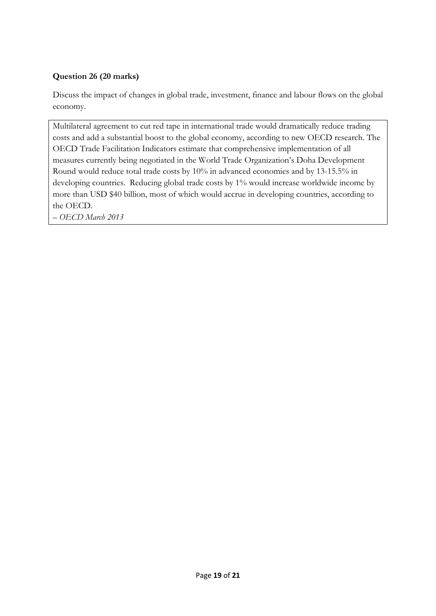## **Question 26 (20 marks)**

Discuss the impact of changes in global trade, investment, finance and labour flows on the global economy.

Multilateral agreement to cut red tape in international trade would dramatically reduce trading costs and add a substantial boost to the global economy, according to new OECD research. The OECD Trade Facilitation Indicators estimate that comprehensive implementation of all measures currently being negotiated in the World Trade Organization's Doha Development Round would reduce total trade costs by 10% in advanced economies and by 13-15.5% in developing countries. Reducing global trade costs by 1% would increase worldwide income by more than USD \$40 billion, most of which would accrue in developing countries, according to the OECD.

*– OECD March 2013*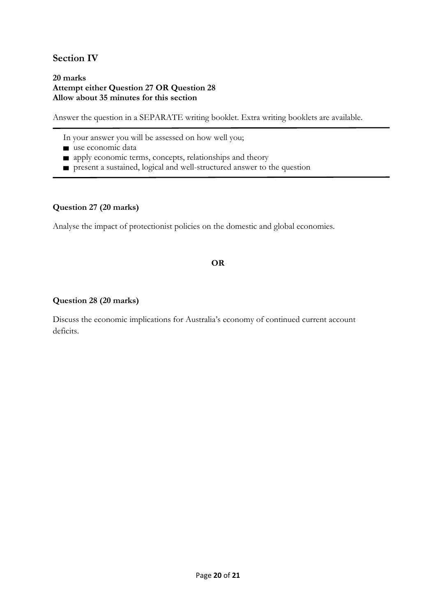## **Section IV**

#### **20 marks Attempt either Question 27 OR Question 28 Allow about 35 minutes for this section**

Answer the question in a SEPARATE writing booklet. Extra writing booklets are available.

- In your answer you will be assessed on how well you;
- use economic data
- **n** apply economic terms, concepts, relationships and theory
- ▆ present a sustained, logical and well-structured answer to the question

## **Question 27 (20 marks)**

Analyse the impact of protectionist policies on the domestic and global economies.

## **OR**

## **Question 28 (20 marks)**

Discuss the economic implications for Australia's economy of continued current account deficits.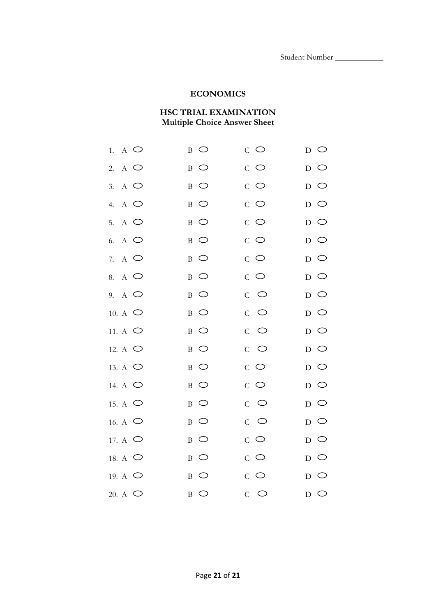## **ECONOMICS**

## **HSC TRIAL EXAMINATION Multiple Choice Answer Sheet**

| $\Lambda$ $\bigcirc$<br>1. | $\overline{B}$ $\overline{O}$ | $C$ $\circlearrowright$ | $_{\rm D}$ $\circ$            |
|----------------------------|-------------------------------|-------------------------|-------------------------------|
| $A$ $\bigcirc$<br>2.       | $_{\rm B}$ $\circ$            | $C$ $\circlearrowright$ | $_{\rm D}$ $\circ$            |
| $A$ $\bigcirc$<br>3.       | $B$ $\bigcirc$                | $C$ $\circlearrowright$ | $D$ O                         |
| $A$ $\bigcirc$<br>4.       | $B$ $\bigcirc$                | $C$ $\circlearrowright$ | $D$ O                         |
| 5. A $\bigcirc$            | $\circ$<br>$\mathbf{B}$       | $C$ $\circlearrowright$ | $\overline{D}$ $\overline{O}$ |
| 6. A $\bigcirc$            | $B$ $\bigcirc$                | $C$ $\circlearrowright$ | $D$ O                         |
| $A$ $\bigcirc$<br>7.       | $_{\rm B}$ $\circ$            | $C$ $\circlearrowright$ | $\overline{D}$ $\overline{O}$ |
| 8. A $\bigcirc$            | $B$ $\bigcirc$                | $C$ $\bigcirc$          | $D$ O                         |
| 9. A $\bigcirc$            | $B$ $\bigcirc$                | $C$ $\circlearrowright$ | $D$ O                         |
| 10. A $\bigcirc$           | $B$ $\bigcirc$                | $C$ $\circlearrowright$ | $D$ $\bigcirc$                |
| 11. A $\bigcirc$           | $B$ $\bigcirc$                | $C$ $\circlearrowright$ | $D$ $\bigcirc$                |
| 12. A $\bigcirc$           | $B$ $\bigcirc$                | $C$ $\bigcirc$          | $D$ O                         |
| 13. A $\bigcirc$           | $B$ $\bigcirc$                | $C$ $\bigcirc$          | $D$ O                         |
| 14. A $\bigcirc$           | $_{\rm B}$ $\circ$            | $C$ $\bigcirc$          | $_{\rm D}$ $\circ$            |
| 15. A $\bigcirc$           | $B$ $\bigcirc$                | $C$ $\circlearrowright$ | $D$ O                         |
| 16. A $\circ$              | $\circ$<br>$\mathbf{B}$       | $C$ $\circlearrowright$ | $_{\rm D}$ $\circ$            |
| 17. A $\bigcirc$           | $\circ$<br>B                  | $C$ $\bigcirc$          | $\overline{D}$ $\overline{O}$ |
| 18. A $\bigcirc$           | $B$ $\bigcirc$                | $C$ $\circlearrowright$ | $D$ $\bigcirc$                |
| 19. A $\bigcirc$           | $\circ$<br>$\, {\bf B}$       | $C$ $\bigcirc$          | $D$ $\bigcirc$                |
| 20. A $\bigcirc$           | $B$ $\bigcirc$                | $C$ $\circlearrowright$ | $D$ $\bigcirc$                |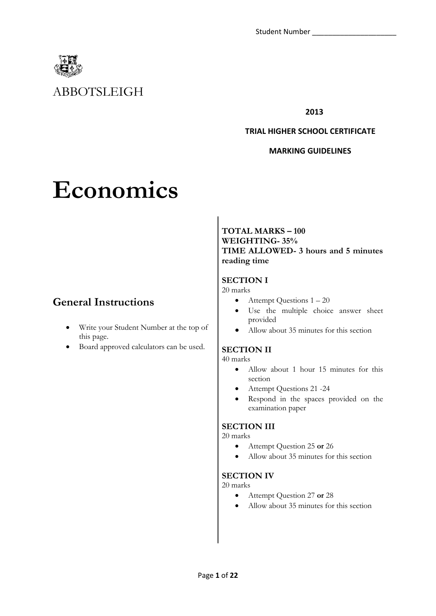

# ABBOTSLEIGH

**2013**

#### **TRIAL HIGHER SCHOOL CERTIFICATE**

## **MARKING GUIDELINES**

# **Economics**

# **General Instructions**

- Write your Student Number at the top of this page.
- Board approved calculators can be used.

## **TOTAL MARKS – 100 WEIGHTING- 35% TIME ALLOWED- 3 hours and 5 minutes reading time**

## **SECTION I**

20 marks

- $\bullet$  Attempt Questions  $1 20$
- Use the multiple choice answer sheet provided
- Allow about 35 minutes for this section

## **SECTION II**

40 marks

- Allow about 1 hour 15 minutes for this section
- Attempt Questions 21 -24
- Respond in the spaces provided on the examination paper

## **SECTION III**

20 marks

- Attempt Question 25 **or** 26
- Allow about 35 minutes for this section

## **SECTION IV**

20 marks

- Attempt Question 27 **or** 28
- Allow about 35 minutes for this section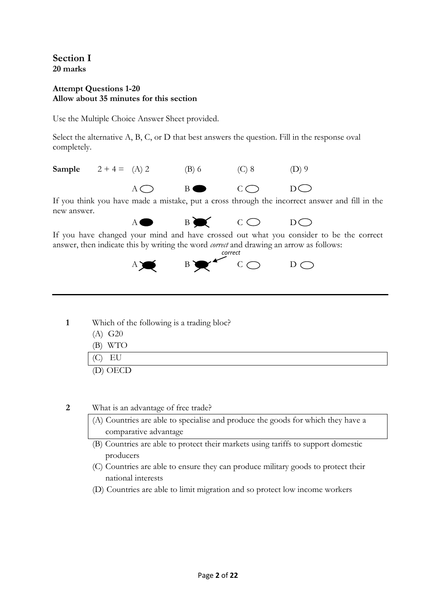**Section I 20 marks** 

## **Attempt Questions 1-20 Allow about 35 minutes for this section**

Use the Multiple Choice Answer Sheet provided.

Select the alternative A, B, C, or D that best answers the question. Fill in the response oval completely.

**Sample**  $2 + 4 = (A) 2$  (B) 6 (C) 8 (D) 9  $A \bigcap B \bullet C \bigcap D \bigcap$ 

If you think you have made a mistake, put a cross through the incorrect answer and fill in the new answer.

 $A \bullet B \bullet C \bullet D$ 

If you have changed your mind and have crossed out what you consider to be the correct answer, then indicate this by writing the word *correct* and drawing an arrow as follows:



- **1** Which of the following is a trading bloc?
	- (A) G20
	- (B) WTO (C) EU (D) OECD

**2** What is an advantage of free trade?

- (A) Countries are able to specialise and produce the goods for which they have a comparative advantage
- (B) Countries are able to protect their markets using tariffs to support domestic producers
- (C) Countries are able to ensure they can produce military goods to protect their national interests
- (D) Countries are able to limit migration and so protect low income workers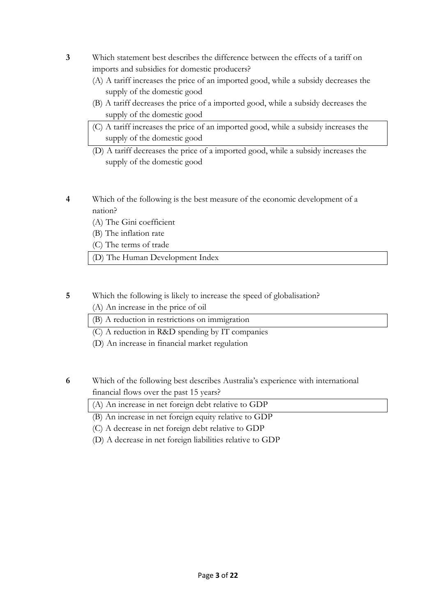- **3** Which statement best describes the difference between the effects of a tariff on imports and subsidies for domestic producers?
	- (A) A tariff increases the price of an imported good, while a subsidy decreases the supply of the domestic good
	- (B) A tariff decreases the price of a imported good, while a subsidy decreases the supply of the domestic good
	- (C) A tariff increases the price of an imported good, while a subsidy increases the supply of the domestic good
	- (D) A tariff decreases the price of a imported good, while a subsidy increases the supply of the domestic good
- **4** Which of the following is the best measure of the economic development of a nation?
	- (A) The Gini coefficient
	- (B) The inflation rate
	- (C) The terms of trade
	- (D) The Human Development Index

## **5** Which the following is likely to increase the speed of globalisation?

(A) An increase in the price of oil

(B) A reduction in restrictions on immigration

- (C) A reduction in R&D spending by IT companies
- (D) An increase in financial market regulation
- **6** Which of the following best describes Australia's experience with international financial flows over the past 15 years?
	- (A) An increase in net foreign debt relative to GDP
	- (B) An increase in net foreign equity relative to GDP
	- (C) A decrease in net foreign debt relative to GDP
	- (D) A decrease in net foreign liabilities relative to GDP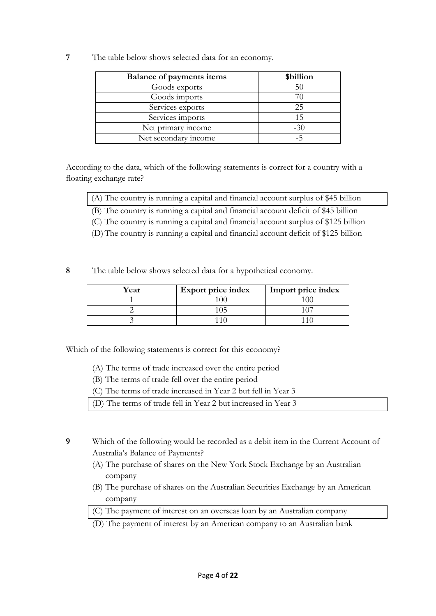**7** The table below shows selected data for an economy.

| <b>Balance of payments items</b> | \$billion |
|----------------------------------|-----------|
| Goods exports                    | 50        |
| Goods imports                    |           |
| Services exports                 | 25        |
| Services imports                 | 15        |
| Net primary income               | $-30$     |
| Net secondary income             |           |

According to the data, which of the following statements is correct for a country with a floating exchange rate?

(A) The country is running a capital and financial account surplus of \$45 billion

(B) The country is running a capital and financial account deficit of \$45 billion

(C) The country is running a capital and financial account surplus of \$125 billion

(D)The country is running a capital and financial account deficit of \$125 billion

**8** The table below shows selected data for a hypothetical economy.

| Year | <b>Export price index</b> | Import price index |
|------|---------------------------|--------------------|
|      |                           |                    |
|      |                           |                    |
|      |                           |                    |

Which of the following statements is correct for this economy?

- (A) The terms of trade increased over the entire period
- (B) The terms of trade fell over the entire period

(C) The terms of trade increased in Year 2 but fell in Year 3

(D) The terms of trade fell in Year 2 but increased in Year 3

- **9** Which of the following would be recorded as a debit item in the Current Account of Australia's Balance of Payments?
	- (A) The purchase of shares on the New York Stock Exchange by an Australian company
	- (B) The purchase of shares on the Australian Securities Exchange by an American company
	- (C) The payment of interest on an overseas loan by an Australian company
	- (D) The payment of interest by an American company to an Australian bank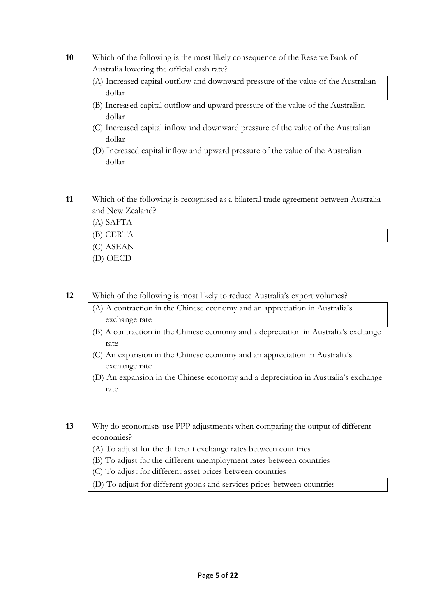- **10** Which of the following is the most likely consequence of the Reserve Bank of Australia lowering the official cash rate?
	- (A) Increased capital outflow and downward pressure of the value of the Australian dollar
	- (B) Increased capital outflow and upward pressure of the value of the Australian dollar
	- (C) Increased capital inflow and downward pressure of the value of the Australian dollar
	- (D) Increased capital inflow and upward pressure of the value of the Australian dollar
- **11** Which of the following is recognised as a bilateral trade agreement between Australia and New Zealand?

| (A) SAFTA |  |
|-----------|--|
| (B) CERTA |  |
| (C) ASEAN |  |
| (D) OECD  |  |

**12** Which of the following is most likely to reduce Australia's export volumes?

- (A) A contraction in the Chinese economy and an appreciation in Australia's exchange rate
- (B) A contraction in the Chinese economy and a depreciation in Australia's exchange rate
- (C) An expansion in the Chinese economy and an appreciation in Australia's exchange rate
- (D) An expansion in the Chinese economy and a depreciation in Australia's exchange rate
- **13** Why do economists use PPP adjustments when comparing the output of different economies?
	- (A) To adjust for the different exchange rates between countries
	- (B) To adjust for the different unemployment rates between countries
	- (C) To adjust for different asset prices between countries
	- (D) To adjust for different goods and services prices between countries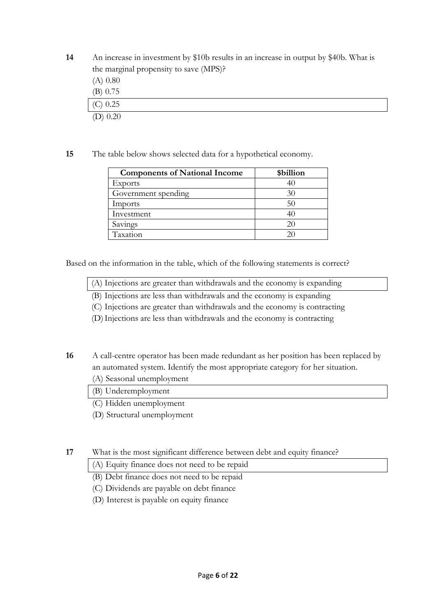**14** An increase in investment by \$10b results in an increase in output by \$40b. What is the marginal propensity to save (MPS)?

- (A) 0.80 (B) 0.75 (C) 0.25  $(D)$  0.20
- **15** The table below shows selected data for a hypothetical economy.

| <b>Components of National Income</b> | \$billion |
|--------------------------------------|-----------|
| Exports                              | 40        |
| Government spending                  | 30        |
| Imports                              | 50        |
| Investment                           | 40        |
| Savings                              | 20        |
| Taxation                             |           |

Based on the information in the table, which of the following statements is correct?

- (A) Injections are greater than withdrawals and the economy is expanding
- (B) Injections are less than withdrawals and the economy is expanding
- (C) Injections are greater than withdrawals and the economy is contracting
- (D)Injections are less than withdrawals and the economy is contracting

**16** A call-centre operator has been made redundant as her position has been replaced by an automated system. Identify the most appropriate category for her situation.

- (A) Seasonal unemployment
- (B) Underemployment
- (C) Hidden unemployment
- (D) Structural unemployment

**17** What is the most significant difference between debt and equity finance?

(A) Equity finance does not need to be repaid

- (B) Debt finance does not need to be repaid
- (C) Dividends are payable on debt finance
- (D) Interest is payable on equity finance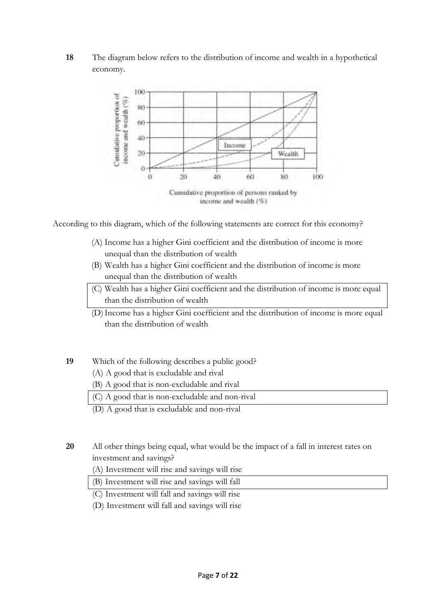## **18** The diagram below refers to the distribution of income and wealth in a hypothetical economy.



According to this diagram, which of the following statements are correct for this economy?

- (A) Income has a higher Gini coefficient and the distribution of income is more unequal than the distribution of wealth
- (B) Wealth has a higher Gini coefficient and the distribution of income is more unequal than the distribution of wealth
- (C) Wealth has a higher Gini coefficient and the distribution of income is more equal than the distribution of wealth
- (D)Income has a higher Gini coefficient and the distribution of income is more equal than the distribution of wealth

## **19** Which of the following describes a public good?

- (A) A good that is excludable and rival
- (B) A good that is non-excludable and rival
- (C) A good that is non-excludable and non-rival

(D) A good that is excludable and non-rival

- **20** All other things being equal, what would be the impact of a fall in interest rates on investment and savings?
	- (A) Investment will rise and savings will rise
	- (B) Investment will rise and savings will fall
	- (C) Investment will fall and savings will rise
	- (D) Investment will fall and savings will rise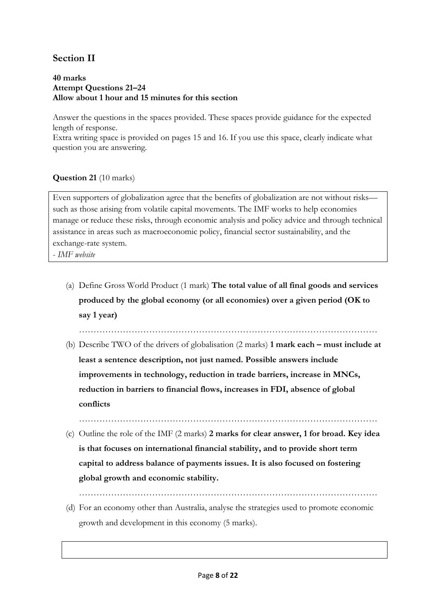# **Section II**

#### **40 marks Attempt Questions 21–24 Allow about 1 hour and 15 minutes for this section**

Answer the questions in the spaces provided. These spaces provide guidance for the expected length of response.

Extra writing space is provided on pages 15 and 16. If you use this space, clearly indicate what question you are answering.

## **Question 21** (10 marks)

Even supporters of globalization agree that the benefits of globalization are not without risks such as those arising from volatile capital movements. The IMF works to help economies manage or reduce these risks, through economic analysis and policy advice and through technical assistance in areas such as macroeconomic policy, financial sector sustainability, and the exchange-rate system.

- *IMF website*

(a) Define Gross World Product (1 mark) **The total value of all final goods and services produced by the global economy (or all economies) over a given period (OK to say 1 year)** 

…………………………………………………………………………………………

(b) Describe TWO of the drivers of globalisation (2 marks) **1 mark each – must include at least a sentence description, not just named. Possible answers include improvements in technology, reduction in trade barriers, increase in MNCs, reduction in barriers to financial flows, increases in FDI, absence of global conflicts** 

…………………………………………………………………………………………

(c) Outline the role of the IMF (2 marks) **2 marks for clear answer, 1 for broad. Key idea is that focuses on international financial stability, and to provide short term capital to address balance of payments issues. It is also focused on fostering global growth and economic stability.** 

…………………………………………………………………………………………

(d) For an economy other than Australia, analyse the strategies used to promote economic growth and development in this economy (5 marks).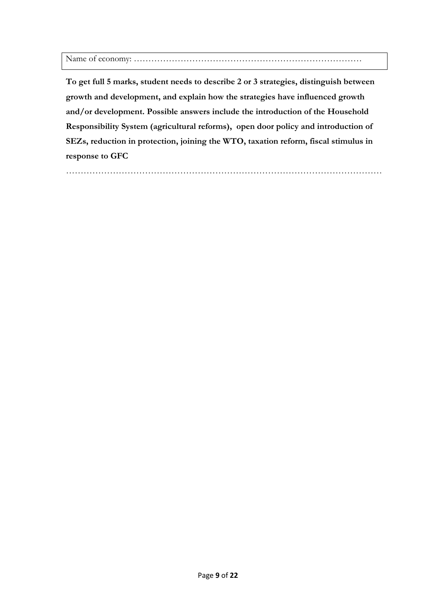Name of economy: ……………………………………………………………………

**To get full 5 marks, student needs to describe 2 or 3 strategies, distinguish between growth and development, and explain how the strategies have influenced growth and/or development. Possible answers include the introduction of the Household Responsibility System (agricultural reforms), open door policy and introduction of SEZs, reduction in protection, joining the WTO, taxation reform, fiscal stimulus in response to GFC** 

………………………………………………………………………………………………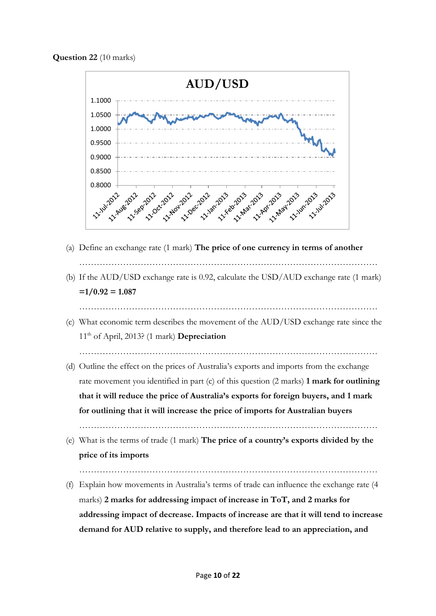**Question 22** (10 marks)



- (a) Define an exchange rate (1 mark) **The price of one currency in terms of another**
- ………………………………………………………………………………………… (b) If the AUD/USD exchange rate is 0.92, calculate the USD/AUD exchange rate (1 mark)  $=1/0.92 = 1.087$ 
	- …………………………………………………………………………………………
- (c) What economic term describes the movement of the AUD/USD exchange rate since the 11th of April, 2013? (1 mark) **Depreciation**

…………………………………………………………………………………………

(d) Outline the effect on the prices of Australia's exports and imports from the exchange rate movement you identified in part (c) of this question (2 marks) **1 mark for outlining that it will reduce the price of Australia's exports for foreign buyers, and 1 mark for outlining that it will increase the price of imports for Australian buyers** 

…………………………………………………………………………………………

- (e) What is the terms of trade (1 mark) **The price of a country's exports divided by the price of its imports**
- ………………………………………………………………………………………… (f) Explain how movements in Australia's terms of trade can influence the exchange rate (4 marks) **2 marks for addressing impact of increase in ToT, and 2 marks for addressing impact of decrease. Impacts of increase are that it will tend to increase** 
	- **demand for AUD relative to supply, and therefore lead to an appreciation, and**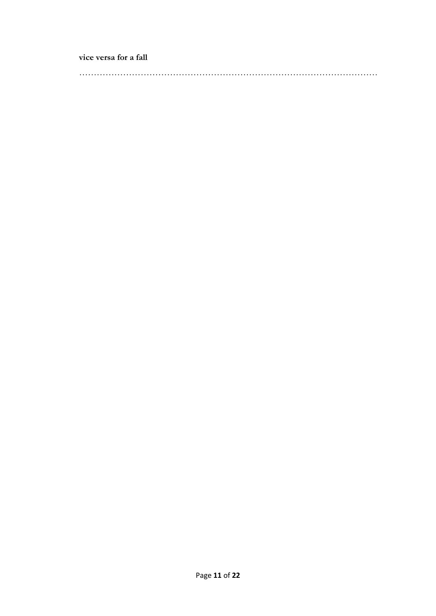**vice versa for a fall** 

…………………………………………………………………………………………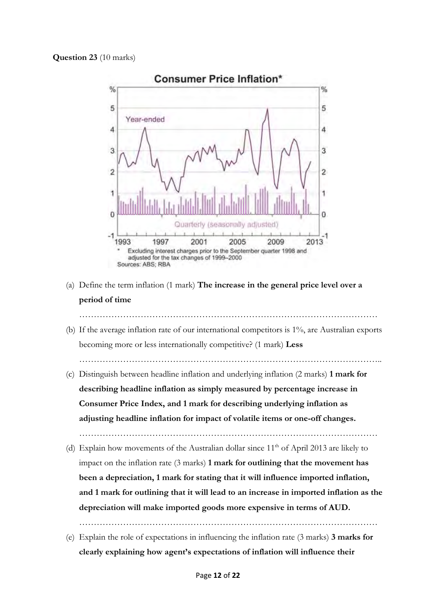

- (a) Define the term inflation (1 mark) **The increase in the general price level over a period of time**
- (b) If the average inflation rate of our international competitors is 1%, are Australian exports becoming more or less internationally competitive? (1 mark) **Less**

…………………………………………………………………………………………..

- (c) Distinguish between headline inflation and underlying inflation (2 marks) **1 mark for describing headline inflation as simply measured by percentage increase in Consumer Price Index, and 1 mark for describing underlying inflation as adjusting headline inflation for impact of volatile items or one-off changes.** 
	- …………………………………………………………………………………………
- (d) Explain how movements of the Australian dollar since  $11<sup>th</sup>$  of April 2013 are likely to impact on the inflation rate (3 marks) **1 mark for outlining that the movement has been a depreciation, 1 mark for stating that it will influence imported inflation, and 1 mark for outlining that it will lead to an increase in imported inflation as the depreciation will make imported goods more expensive in terms of AUD.**

. The same set of the same set of the same set of the same set of the same set of the same set of the same set of the same set of the same set of the same set of the same set of the same set of the same set of the same se

(e) Explain the role of expectations in influencing the inflation rate (3 marks) **3 marks for clearly explaining how agent's expectations of inflation will influence their**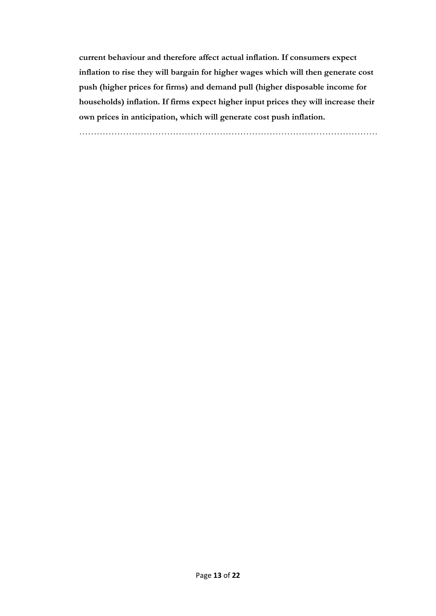**current behaviour and therefore affect actual inflation. If consumers expect inflation to rise they will bargain for higher wages which will then generate cost push (higher prices for firms) and demand pull (higher disposable income for households) inflation. If firms expect higher input prices they will increase their own prices in anticipation, which will generate cost push inflation.** 

…………………………………………………………………………………………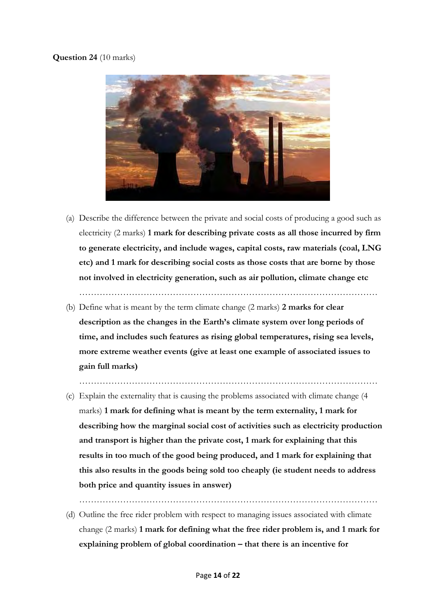## **Question 24** (10 marks)



(a) Describe the difference between the private and social costs of producing a good such as electricity (2 marks) **1 mark for describing private costs as all those incurred by firm to generate electricity, and include wages, capital costs, raw materials (coal, LNG etc) and 1 mark for describing social costs as those costs that are borne by those not involved in electricity generation, such as air pollution, climate change etc** 

…………………………………………………………………………………………

(b) Define what is meant by the term climate change (2 marks) **2 marks for clear description as the changes in the Earth's climate system over long periods of time, and includes such features as rising global temperatures, rising sea levels, more extreme weather events (give at least one example of associated issues to gain full marks)** 

…………………………………………………………………………………………

(c) Explain the externality that is causing the problems associated with climate change (4 marks) **1 mark for defining what is meant by the term externality, 1 mark for describing how the marginal social cost of activities such as electricity production and transport is higher than the private cost, 1 mark for explaining that this results in too much of the good being produced, and 1 mark for explaining that this also results in the goods being sold too cheaply (ie student needs to address both price and quantity issues in answer)** 

…………………………………………………………………………………………

(d) Outline the free rider problem with respect to managing issues associated with climate change (2 marks) **1 mark for defining what the free rider problem is, and 1 mark for explaining problem of global coordination – that there is an incentive for**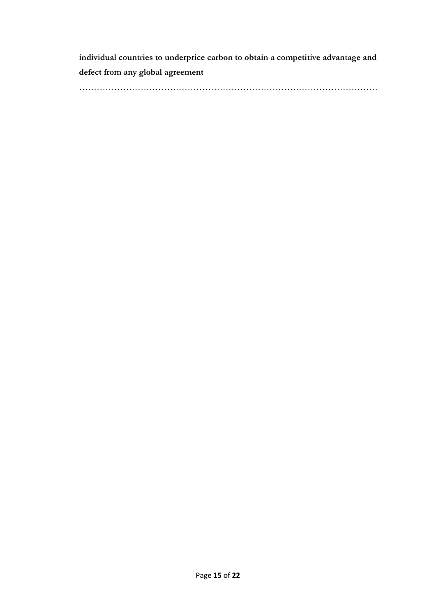**individual countries to underprice carbon to obtain a competitive advantage and defect from any global agreement** 

…………………………………………………………………………………………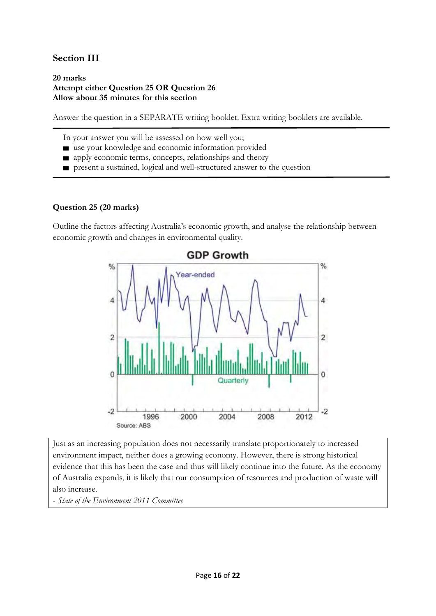# **Section III**

#### **20 marks Attempt either Question 25 OR Question 26 Allow about 35 minutes for this section**

Answer the question in a SEPARATE writing booklet. Extra writing booklets are available.

In your answer you will be assessed on how well you;

- use your knowledge and economic information provided
- **n** apply economic terms, concepts, relationships and theory
- present a sustained, logical and well-structured answer to the question

## **Question 25 (20 marks)**

Outline the factors affecting Australia's economic growth, and analyse the relationship between economic growth and changes in environmental quality.



Just as an increasing population does not necessarily translate proportionately to increased environment impact, neither does a growing economy. However, there is strong historical evidence that this has been the case and thus will likely continue into the future. As the economy of Australia expands, it is likely that our consumption of resources and production of waste will also increase.

- *State of the Environment 2011 Committee*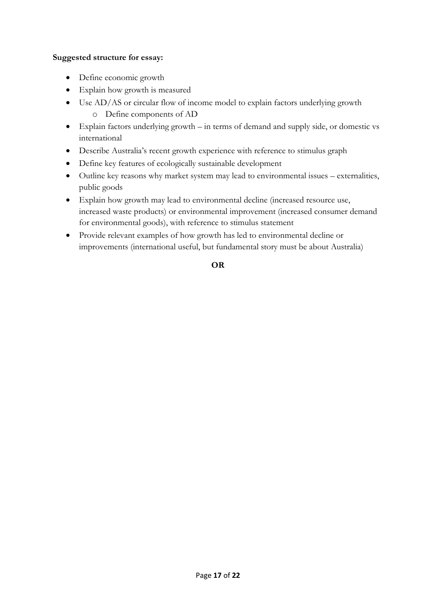## **Suggested structure for essay:**

- Define economic growth
- Explain how growth is measured
- Use AD/AS or circular flow of income model to explain factors underlying growth o Define components of AD
- Explain factors underlying growth in terms of demand and supply side, or domestic vs international
- Describe Australia's recent growth experience with reference to stimulus graph
- Define key features of ecologically sustainable development
- Outline key reasons why market system may lead to environmental issues externalities, public goods
- Explain how growth may lead to environmental decline (increased resource use, increased waste products) or environmental improvement (increased consumer demand for environmental goods), with reference to stimulus statement
- Provide relevant examples of how growth has led to environmental decline or improvements (international useful, but fundamental story must be about Australia)

## **OR**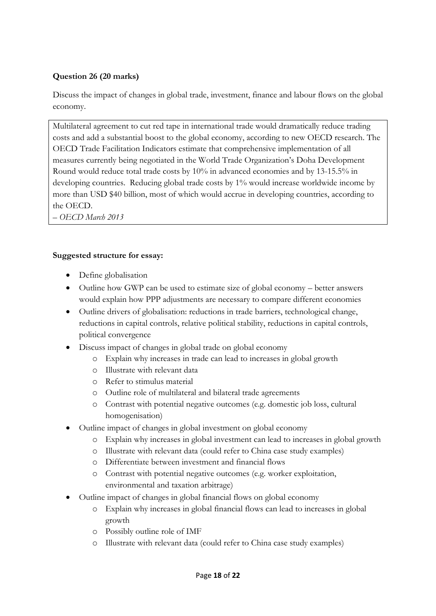## **Question 26 (20 marks)**

Discuss the impact of changes in global trade, investment, finance and labour flows on the global economy.

Multilateral agreement to cut red tape in international trade would dramatically reduce trading costs and add a substantial boost to the global economy, according to new OECD research. The OECD Trade Facilitation Indicators estimate that comprehensive implementation of all measures currently being negotiated in the World Trade Organization's Doha Development Round would reduce total trade costs by 10% in advanced economies and by 13-15.5% in developing countries. Reducing global trade costs by 1% would increase worldwide income by more than USD \$40 billion, most of which would accrue in developing countries, according to the OECD.

*– OECD March 2013*

## **Suggested structure for essay:**

- Define globalisation
- Outline how GWP can be used to estimate size of global economy better answers would explain how PPP adjustments are necessary to compare different economies
- Outline drivers of globalisation: reductions in trade barriers, technological change, reductions in capital controls, relative political stability, reductions in capital controls, political convergence
- Discuss impact of changes in global trade on global economy
	- o Explain why increases in trade can lead to increases in global growth
	- o Illustrate with relevant data
	- o Refer to stimulus material
	- o Outline role of multilateral and bilateral trade agreements
	- o Contrast with potential negative outcomes (e.g. domestic job loss, cultural homogenisation)
- Outline impact of changes in global investment on global economy
	- o Explain why increases in global investment can lead to increases in global growth
	- o Illustrate with relevant data (could refer to China case study examples)
	- o Differentiate between investment and financial flows
	- o Contrast with potential negative outcomes (e.g. worker exploitation, environmental and taxation arbitrage)
- Outline impact of changes in global financial flows on global economy
	- o Explain why increases in global financial flows can lead to increases in global growth
	- o Possibly outline role of IMF
	- o Illustrate with relevant data (could refer to China case study examples)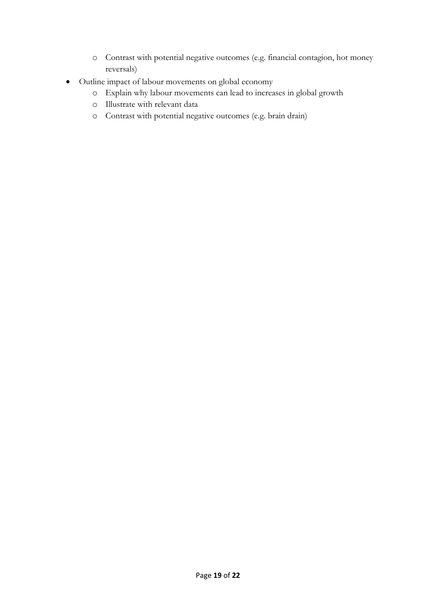- o Contrast with potential negative outcomes (e.g. financial contagion, hot money reversals)
- Outline impact of labour movements on global economy
	- o Explain why labour movements can lead to increases in global growth
	- o Illustrate with relevant data
	- o Contrast with potential negative outcomes (e.g. brain drain)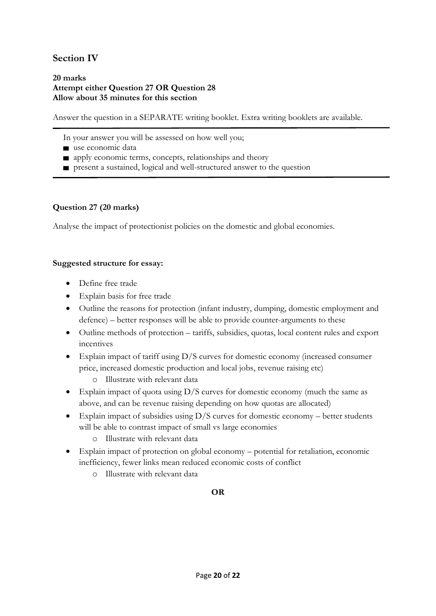# **Section IV**

#### **20 marks Attempt either Question 27 OR Question 28 Allow about 35 minutes for this section**

Answer the question in a SEPARATE writing booklet. Extra writing booklets are available.

- In your answer you will be assessed on how well you;
- use economic data
- **n** apply economic terms, concepts, relationships and theory
- present a sustained, logical and well-structured answer to the question

## **Question 27 (20 marks)**

Analyse the impact of protectionist policies on the domestic and global economies.

## **Suggested structure for essay:**

- Define free trade
- Explain basis for free trade
- Outline the reasons for protection (infant industry, dumping, domestic employment and defence) – better responses will be able to provide counter-arguments to these
- Outline methods of protection tariffs, subsidies, quotas, local content rules and export incentives
- Explain impact of tariff using D/S curves for domestic economy (increased consumer price, increased domestic production and local jobs, revenue raising etc)
	- o Illustrate with relevant data
- Explain impact of quota using D/S curves for domestic economy (much the same as above, and can be revenue raising depending on how quotas are allocated)
- Explain impact of subsidies using  $D/S$  curves for domestic economy better students will be able to contrast impact of small vs large economies
	- o Illustrate with relevant data
- Explain impact of protection on global economy potential for retaliation, economic inefficiency, fewer links mean reduced economic costs of conflict
	- o Illustrate with relevant data

## **OR**